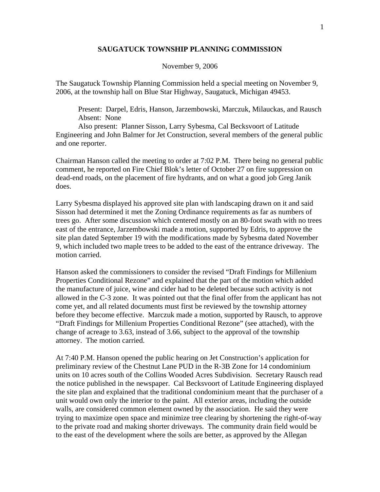## **SAUGATUCK TOWNSHIP PLANNING COMMISSION**

## November 9, 2006

The Saugatuck Township Planning Commission held a special meeting on November 9, 2006, at the township hall on Blue Star Highway, Saugatuck, Michigan 49453.

 Present: Darpel, Edris, Hanson, Jarzembowski, Marczuk, Milauckas, and Rausch Absent: None

 Also present: Planner Sisson, Larry Sybesma, Cal Becksvoort of Latitude Engineering and John Balmer for Jet Construction, several members of the general public and one reporter.

Chairman Hanson called the meeting to order at 7:02 P.M. There being no general public comment, he reported on Fire Chief Blok's letter of October 27 on fire suppression on dead-end roads, on the placement of fire hydrants, and on what a good job Greg Janik does.

Larry Sybesma displayed his approved site plan with landscaping drawn on it and said Sisson had determined it met the Zoning Ordinance requirements as far as numbers of trees go. After some discussion which centered mostly on an 80-foot swath with no trees east of the entrance, Jarzembowski made a motion, supported by Edris, to approve the site plan dated September 19 with the modifications made by Sybesma dated November 9, which included two maple trees to be added to the east of the entrance driveway. The motion carried.

Hanson asked the commissioners to consider the revised "Draft Findings for Millenium Properties Conditional Rezone" and explained that the part of the motion which added the manufacture of juice, wine and cider had to be deleted because such activity is not allowed in the C-3 zone. It was pointed out that the final offer from the applicant has not come yet, and all related documents must first be reviewed by the township attorney before they become effective. Marczuk made a motion, supported by Rausch, to approve "Draft Findings for Millenium Properties Conditional Rezone" (see attached), with the change of acreage to 3.63, instead of 3.66, subject to the approval of the township attorney. The motion carried.

At 7:40 P.M. Hanson opened the public hearing on Jet Construction's application for preliminary review of the Chestnut Lane PUD in the R-3B Zone for 14 condominium units on 10 acres south of the Collins Wooded Acres Subdivision. Secretary Rausch read the notice published in the newspaper. Cal Becksvoort of Latitude Engineering displayed the site plan and explained that the traditional condominium meant that the purchaser of a unit would own only the interior to the paint. All exterior areas, including the outside walls, are considered common element owned by the association. He said they were trying to maximize open space and minimize tree clearing by shortening the right-of-way to the private road and making shorter driveways. The community drain field would be to the east of the development where the soils are better, as approved by the Allegan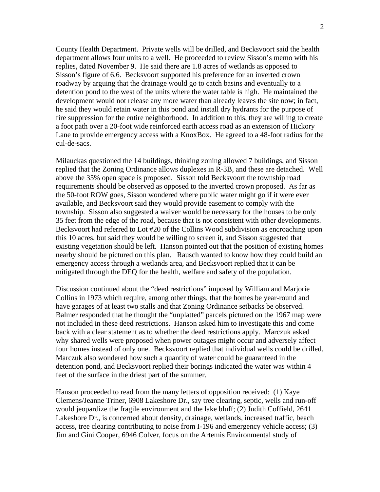County Health Department. Private wells will be drilled, and Becksvoort said the health department allows four units to a well. He proceeded to review Sisson's memo with his replies, dated November 9. He said there are 1.8 acres of wetlands as opposed to Sisson's figure of 6.6. Becksvoort supported his preference for an inverted crown roadway by arguing that the drainage would go to catch basins and eventually to a detention pond to the west of the units where the water table is high. He maintained the development would not release any more water than already leaves the site now; in fact, he said they would retain water in this pond and install dry hydrants for the purpose of fire suppression for the entire neighborhood. In addition to this, they are willing to create a foot path over a 20-foot wide reinforced earth access road as an extension of Hickory Lane to provide emergency access with a KnoxBox. He agreed to a 48-foot radius for the cul-de-sacs.

Milauckas questioned the 14 buildings, thinking zoning allowed 7 buildings, and Sisson replied that the Zoning Ordinance allows duplexes in R-3B, and these are detached. Well above the 35% open space is proposed. Sisson told Becksvoort the township road requirements should be observed as opposed to the inverted crown proposed. As far as the 50-foot ROW goes, Sisson wondered where public water might go if it were ever available, and Becksvoort said they would provide easement to comply with the township. Sisson also suggested a waiver would be necessary for the houses to be only 35 feet from the edge of the road, because that is not consistent with other developments. Becksvoort had referred to Lot #20 of the Collins Wood subdivision as encroaching upon this 10 acres, but said they would be willing to screen it, and Sisson suggested that existing vegetation should be left. Hanson pointed out that the position of existing homes nearby should be pictured on this plan. Rausch wanted to know how they could build an emergency access through a wetlands area, and Becksvoort replied that it can be mitigated through the DEQ for the health, welfare and safety of the population.

Discussion continued about the "deed restrictions" imposed by William and Marjorie Collins in 1973 which require, among other things, that the homes be year-round and have garages of at least two stalls and that Zoning Ordinance setbacks be observed. Balmer responded that he thought the "unplatted" parcels pictured on the 1967 map were not included in these deed restrictions. Hanson asked him to investigate this and come back with a clear statement as to whether the deed restrictions apply. Marczuk asked why shared wells were proposed when power outages might occur and adversely affect four homes instead of only one. Becksvoort replied that individual wells could be drilled. Marczuk also wondered how such a quantity of water could be guaranteed in the detention pond, and Becksvoort replied their borings indicated the water was within 4 feet of the surface in the driest part of the summer.

Hanson proceeded to read from the many letters of opposition received: (1) Kaye Clemens/Jeanne Triner, 6908 Lakeshore Dr., say tree clearing, septic, wells and run-off would jeopardize the fragile environment and the lake bluff; (2) Judith Coffield, 2641 Lakeshore Dr., is concerned about density, drainage, wetlands, increased traffic, beach access, tree clearing contributing to noise from I-196 and emergency vehicle access; (3) Jim and Gini Cooper, 6946 Colver, focus on the Artemis Environmental study of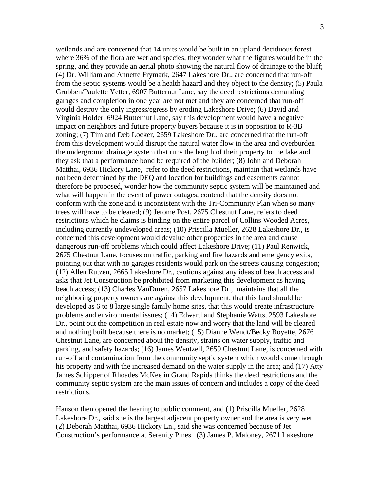wetlands and are concerned that 14 units would be built in an upland deciduous forest where 36% of the flora are wetland species, they wonder what the figures would be in the spring, and they provide an aerial photo showing the natural flow of drainage to the bluff; (4) Dr. William and Annette Frymark, 2647 Lakeshore Dr., are concerned that run-off from the septic systems would be a health hazard and they object to the density; (5) Paula Grubben/Paulette Yetter, 6907 Butternut Lane, say the deed restrictions demanding garages and completion in one year are not met and they are concerned that run-off would destroy the only ingress/egress by eroding Lakeshore Drive; (6) David and Virginia Holder, 6924 Butternut Lane, say this development would have a negative impact on neighbors and future property buyers because it is in opposition to R-3B zoning; (7) Tim and Deb Locker, 2659 Lakeshore Dr., are concerned that the run-off from this development would disrupt the natural water flow in the area and overburden the underground drainage system that runs the length of their property to the lake and they ask that a performance bond be required of the builder; (8) John and Deborah Matthai, 6936 Hickory Lane, refer to the deed restrictions, maintain that wetlands have not been determined by the DEQ and location for buildings and easements cannot therefore be proposed, wonder how the community septic system will be maintained and what will happen in the event of power outages, contend that the density does not conform with the zone and is inconsistent with the Tri-Community Plan when so many trees will have to be cleared; (9) Jerome Post, 2675 Chestnut Lane, refers to deed restrictions which he claims is binding on the entire parcel of Collins Wooded Acres, including currently undeveloped areas; (10) Priscilla Mueller, 2628 Lakeshore Dr., is concerned this development would devalue other properties in the area and cause dangerous run-off problems which could affect Lakeshore Drive; (11) Paul Renwick, 2675 Chestnut Lane, focuses on traffic, parking and fire hazards and emergency exits, pointing out that with no garages residents would park on the streets causing congestion; (12) Allen Rutzen, 2665 Lakeshore Dr., cautions against any ideas of beach access and asks that Jet Construction be prohibited from marketing this development as having beach access; (13) Charles VanDuren, 2657 Lakeshore Dr., maintains that all the neighboring property owners are against this development, that this land should be developed as 6 to 8 large single family home sites, that this would create infrastructure problems and environmental issues; (14) Edward and Stephanie Watts, 2593 Lakeshore Dr., point out the competition in real estate now and worry that the land will be cleared and nothing built because there is no market; (15) Dianne Wendt/Becky Boyette, 2676 Chestnut Lane, are concerned about the density, strains on water supply, traffic and parking, and safety hazards; (16) James Wentzell, 2659 Chestnut Lane, is concerned with run-off and contamination from the community septic system which would come through his property and with the increased demand on the water supply in the area; and (17) Atty James Schipper of Rhoades McKee in Grand Rapids thinks the deed restrictions and the community septic system are the main issues of concern and includes a copy of the deed restrictions.

Hanson then opened the hearing to public comment, and (1) Priscilla Mueller, 2628 Lakeshore Dr., said she is the largest adjacent property owner and the area is very wet. (2) Deborah Matthai, 6936 Hickory Ln., said she was concerned because of Jet Construction's performance at Serenity Pines. (3) James P. Maloney, 2671 Lakeshore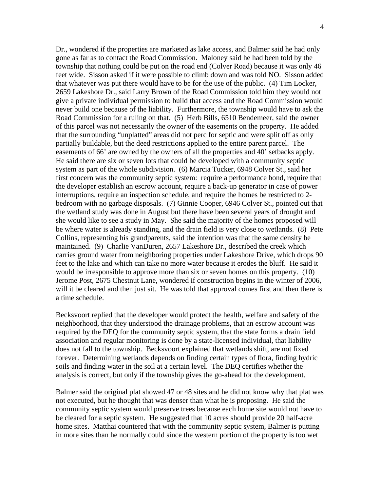Dr., wondered if the properties are marketed as lake access, and Balmer said he had only gone as far as to contact the Road Commission. Maloney said he had been told by the township that nothing could be put on the road end (Colver Road) because it was only 46 feet wide. Sisson asked if it were possible to climb down and was told NO. Sisson added that whatever was put there would have to be for the use of the public. (4) Tim Locker, 2659 Lakeshore Dr., said Larry Brown of the Road Commission told him they would not give a private individual permission to build that access and the Road Commission would never build one because of the liability. Furthermore, the township would have to ask the Road Commission for a ruling on that. (5) Herb Bills, 6510 Bendemeer, said the owner of this parcel was not necessarily the owner of the easements on the property. He added that the surrounding "unplatted" areas did not perc for septic and were split off as only partially buildable, but the deed restrictions applied to the entire parent parcel. The easements of 66' are owned by the owners of all the properties and 40' setbacks apply. He said there are six or seven lots that could be developed with a community septic system as part of the whole subdivision. (6) Marcia Tucker, 6948 Colver St., said her first concern was the community septic system: require a performance bond, require that the developer establish an escrow account, require a back-up generator in case of power interruptions, require an inspection schedule, and require the homes be restricted to 2 bedroom with no garbage disposals. (7) Ginnie Cooper, 6946 Colver St., pointed out that the wetland study was done in August but there have been several years of drought and she would like to see a study in May. She said the majority of the homes proposed will be where water is already standing, and the drain field is very close to wetlands. (8) Pete Collins, representing his grandparents, said the intention was that the same density be maintained. (9) Charlie VanDuren, 2657 Lakeshore Dr., described the creek which carries ground water from neighboring properties under Lakeshore Drive, which drops 90 feet to the lake and which can take no more water because it erodes the bluff. He said it would be irresponsible to approve more than six or seven homes on this property. (10) Jerome Post, 2675 Chestnut Lane, wondered if construction begins in the winter of 2006, will it be cleared and then just sit. He was told that approval comes first and then there is a time schedule.

Becksvoort replied that the developer would protect the health, welfare and safety of the neighborhood, that they understood the drainage problems, that an escrow account was required by the DEQ for the community septic system, that the state forms a drain field association and regular monitoring is done by a state-licensed individual, that liability does not fall to the township. Becksvoort explained that wetlands shift, are not fixed forever. Determining wetlands depends on finding certain types of flora, finding hydric soils and finding water in the soil at a certain level. The DEQ certifies whether the analysis is correct, but only if the township gives the go-ahead for the development.

Balmer said the original plat showed 47 or 48 sites and he did not know why that plat was not executed, but he thought that was denser than what he is proposing. He said the community septic system would preserve trees because each home site would not have to be cleared for a septic system. He suggested that 10 acres should provide 20 half-acre home sites. Matthai countered that with the community septic system, Balmer is putting in more sites than he normally could since the western portion of the property is too wet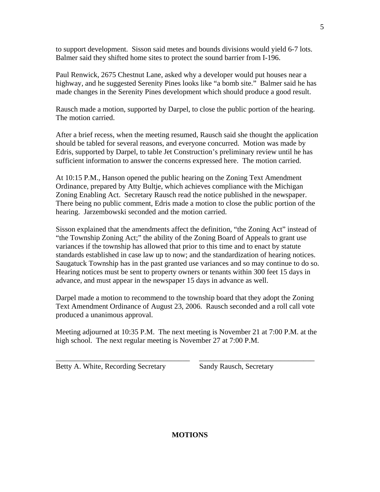to support development. Sisson said metes and bounds divisions would yield 6-7 lots. Balmer said they shifted home sites to protect the sound barrier from I-196.

Paul Renwick, 2675 Chestnut Lane, asked why a developer would put houses near a highway, and he suggested Serenity Pines looks like "a bomb site." Balmer said he has made changes in the Serenity Pines development which should produce a good result.

Rausch made a motion, supported by Darpel, to close the public portion of the hearing. The motion carried.

After a brief recess, when the meeting resumed, Rausch said she thought the application should be tabled for several reasons, and everyone concurred. Motion was made by Edris, supported by Darpel, to table Jet Construction's preliminary review until he has sufficient information to answer the concerns expressed here. The motion carried.

At 10:15 P.M., Hanson opened the public hearing on the Zoning Text Amendment Ordinance, prepared by Atty Bultje, which achieves compliance with the Michigan Zoning Enabling Act. Secretary Rausch read the notice published in the newspaper. There being no public comment, Edris made a motion to close the public portion of the hearing. Jarzembowski seconded and the motion carried.

Sisson explained that the amendments affect the definition, "the Zoning Act" instead of "the Township Zoning Act;" the ability of the Zoning Board of Appeals to grant use variances if the township has allowed that prior to this time and to enact by statute standards established in case law up to now; and the standardization of hearing notices. Saugatuck Township has in the past granted use variances and so may continue to do so. Hearing notices must be sent to property owners or tenants within 300 feet 15 days in advance, and must appear in the newspaper 15 days in advance as well.

Darpel made a motion to recommend to the township board that they adopt the Zoning Text Amendment Ordinance of August 23, 2006. Rausch seconded and a roll call vote produced a unanimous approval.

Meeting adjourned at 10:35 P.M. The next meeting is November 21 at 7:00 P.M. at the high school. The next regular meeting is November 27 at 7:00 P.M.

\_\_\_\_\_\_\_\_\_\_\_\_\_\_\_\_\_\_\_\_\_\_\_\_\_\_\_\_\_\_\_\_\_\_\_\_ \_\_\_\_\_\_\_\_\_\_\_\_\_\_\_\_\_\_\_\_\_\_\_\_\_\_\_\_\_\_\_

Betty A. White, Recording Secretary Sandy Rausch, Secretary

## **MOTIONS**